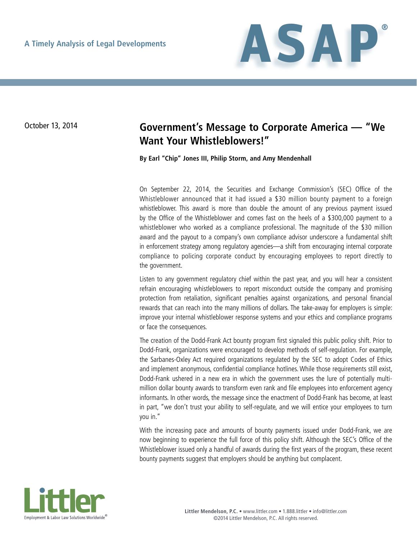

## October 13, 2014 **Government's Message to Corporate America — "We Want Your Whistleblowers!"**

**By Earl "Chip" Jones III, Philip Storm, and Amy Mendenhall**

On September 22, 2014, the Securities and Exchange Commission's (SEC) Office of the Whistleblower announced that it had issued a \$30 million bounty payment to a foreign whistleblower. This award is more than double the amount of any previous payment issued by the Office of the Whistleblower and comes fast on the heels of a \$300,000 payment to a whistleblower who worked as a compliance professional. The magnitude of the \$30 million award and the payout to a company's own compliance advisor underscore a fundamental shift in enforcement strategy among regulatory agencies—a shift from encouraging internal corporate compliance to policing corporate conduct by encouraging employees to report directly to the government.

Listen to any government regulatory chief within the past year, and you will hear a consistent refrain encouraging whistleblowers to report misconduct outside the company and promising protection from retaliation, significant penalties against organizations, and personal financial rewards that can reach into the many millions of dollars. The take-away for employers is simple: improve your internal whistleblower response systems and your ethics and compliance programs or face the consequences.

The creation of the Dodd-Frank Act bounty program first signaled this public policy shift. Prior to Dodd-Frank, organizations were encouraged to develop methods of self-regulation. For example, the Sarbanes-Oxley Act required organizations regulated by the SEC to adopt Codes of Ethics and implement anonymous, confidential compliance hotlines. While those requirements still exist, Dodd-Frank ushered in a new era in which the government uses the lure of potentially multimillion dollar bounty awards to transform even rank and file employees into enforcement agency informants. In other words, the message since the enactment of Dodd-Frank has become, at least in part, "we don't trust your ability to self-regulate, and we will entice your employees to turn you in."

With the increasing pace and amounts of bounty payments issued under Dodd-Frank, we are now beginning to experience the full force of this policy shift. Although the SEC's Office of the Whistleblower issued only a handful of awards during the first years of the program, these recent bounty payments suggest that employers should be anything but complacent.

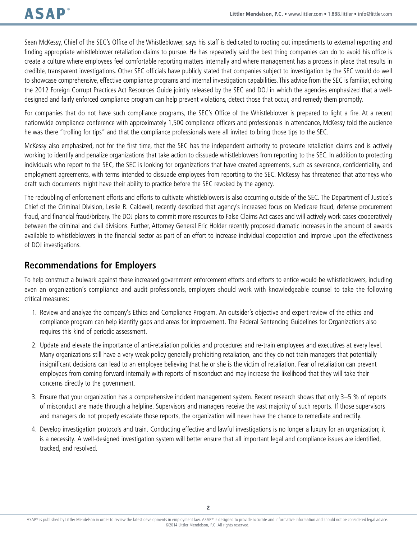Sean McKessy, Chief of the SEC's Office of the Whistleblower, says his staff is dedicated to rooting out impediments to external reporting and finding appropriate whistleblower retaliation claims to pursue. He has repeatedly said the best thing companies can do to avoid his office is create a culture where employees feel comfortable reporting matters internally and where management has a process in place that results in credible, transparent investigations. Other SEC officials have publicly stated that companies subject to investigation by the SEC would do well to showcase comprehensive, effective compliance programs and internal investigation capabilities. This advice from the SEC is familiar, echoing the 2012 Foreign Corrupt Practices Act Resources Guide jointly released by the SEC and DOJ in which the agencies emphasized that a welldesigned and fairly enforced compliance program can help prevent violations, detect those that occur, and remedy them promptly.

For companies that do not have such compliance programs, the SEC's Office of the Whistleblower is prepared to light a fire. At a recent nationwide compliance conference with approximately 1,500 compliance officers and professionals in attendance, McKessy told the audience he was there "trolling for tips" and that the compliance professionals were all invited to bring those tips to the SEC.

McKessy also emphasized, not for the first time, that the SEC has the independent authority to prosecute retaliation claims and is actively working to identify and penalize organizations that take action to dissuade whistleblowers from reporting to the SEC. In addition to protecting individuals who report to the SEC, the SEC is looking for organizations that have created agreements, such as severance, confidentiality, and employment agreements, with terms intended to dissuade employees from reporting to the SEC. McKessy has threatened that attorneys who draft such documents might have their ability to practice before the SEC revoked by the agency.

The redoubling of enforcement efforts and efforts to cultivate whistleblowers is also occurring outside of the SEC. The Department of Justice's Chief of the Criminal Division, Leslie R. Caldwell, recently described that agency's increased focus on Medicare fraud, defense procurement fraud, and financial fraud/bribery. The DOJ plans to commit more resources to False Claims Act cases and will actively work cases cooperatively between the criminal and civil divisions. Further, Attorney General Eric Holder recently proposed dramatic increases in the amount of awards available to whistleblowers in the financial sector as part of an effort to increase individual cooperation and improve upon the effectiveness of DOJ investigations.

## **Recommendations for Employers**

To help construct a bulwark against these increased government enforcement efforts and efforts to entice would-be whistleblowers, including even an organization's compliance and audit professionals, employers should work with knowledgeable counsel to take the following critical measures:

- 1. Review and analyze the company's Ethics and Compliance Program. An outsider's objective and expert review of the ethics and compliance program can help identify gaps and areas for improvement. The Federal Sentencing Guidelines for Organizations also requires this kind of periodic assessment.
- 2. Update and elevate the importance of anti-retaliation policies and procedures and re-train employees and executives at every level. Many organizations still have a very weak policy generally prohibiting retaliation, and they do not train managers that potentially insignificant decisions can lead to an employee believing that he or she is the victim of retaliation. Fear of retaliation can prevent employees from coming forward internally with reports of misconduct and may increase the likelihood that they will take their concerns directly to the government.
- 3. Ensure that your organization has a comprehensive incident management system. Recent research shows that only 3–5 % of reports of misconduct are made through a helpline. Supervisors and managers receive the vast majority of such reports. If those supervisors and managers do not properly escalate those reports, the organization will never have the chance to remediate and rectify.
- 4. Develop investigation protocols and train. Conducting effective and lawful investigations is no longer a luxury for an organization; it is a necessity. A well-designed investigation system will better ensure that all important legal and compliance issues are identified, tracked, and resolved.